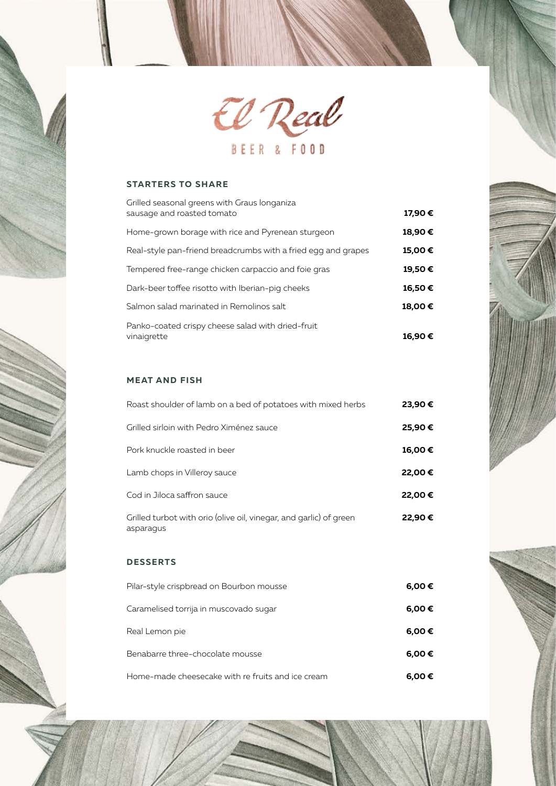

## **STARTERS TO SHARE**

| Grilled seasonal greens with Graus longaniza<br>sausage and roasted tomato | 17,90 € |
|----------------------------------------------------------------------------|---------|
| Home-grown borage with rice and Pyrenean sturgeon                          | 18,90€  |
| Real-style pan-friend breadcrumbs with a fried egg and grapes              | 15,00€  |
| Tempered free-range chicken carpaccio and foie gras                        | 19,50€  |
| Dark-beer toffee risotto with Iberian-pig cheeks                           | 16,50€  |
| Salmon salad marinated in Remolinos salt                                   | 18,00€  |
| Panko-coated crispy cheese salad with dried-fruit<br>vinaigrette           | 16,90€  |

### **MEAT AND FISH**

| Roast shoulder of lamb on a bed of potatoes with mixed herbs                    | 23,90 € |
|---------------------------------------------------------------------------------|---------|
| Grilled sirloin with Pedro Ximénez sauce                                        | 25,90€  |
| Pork knuckle roasted in beer                                                    | 16,00€  |
| Lamb chops in Villeroy sauce                                                    | 22,00€  |
| Cod in Jiloca saffron sauce                                                     | 22,00€  |
| Grilled turbot with orio (olive oil, vinegar, and garlic) of green<br>asparaqus | 22,90€  |

### **DESSERTS**

| Pilar-style crispbread on Bourbon mousse          | 6,00€      |
|---------------------------------------------------|------------|
| Caramelised torrija in muscovado sugar            | 6,00 €     |
| Real Lemon pie                                    | $6,00 \in$ |
| Benabarre three-chocolate mousse                  | $6,00 \in$ |
| Home-made cheesecake with re fruits and ice cream | 6,00€      |

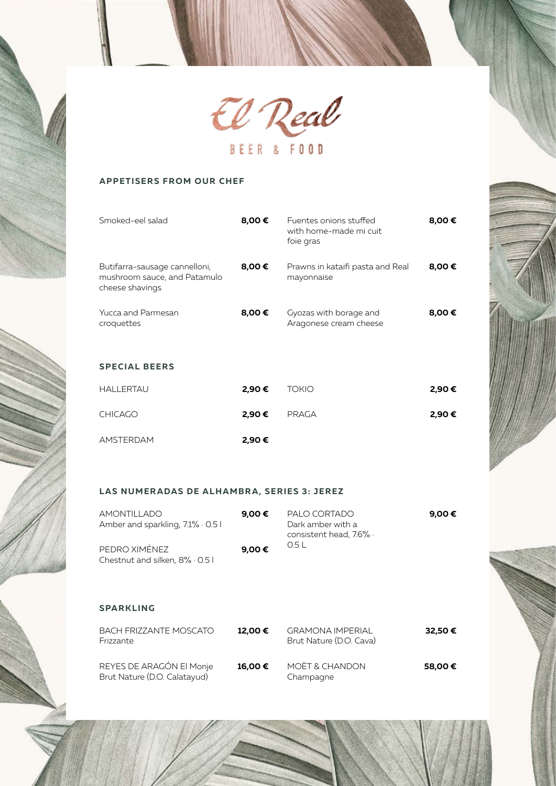

# **APPETISERS FROM OUR CHEF**

| Smoked-eel salad                                                                 | 8,00 € | Fuentes onions stuffed<br>with home-made mi cuit<br>foie gras | 8,00 € |
|----------------------------------------------------------------------------------|--------|---------------------------------------------------------------|--------|
| Butifarra-sausage cannelloni,<br>mushroom sauce, and Patamulo<br>cheese shavings | 8,00 € | Prawns in kataifi pasta and Real<br>mayonnaise                | 8,00€  |
| Yucca and Parmesan<br>croquettes                                                 | 8,00 € | Gyozas with borage and<br>Aragonese cream cheese              | 8,00 € |
| <b>SPECIAL BEERS</b>                                                             |        |                                                               |        |
| <b>HALLERTAU</b>                                                                 | 2,90€  | <b>TOKIO</b>                                                  | 2,90€  |
| <b>CHICAGO</b>                                                                   | 2,90€  | PRAGA                                                         | 2,90€  |
| <b>AMSTERDAM</b>                                                                 | 2,90 € |                                                               |        |

### **LAS NUMERADAS DE ALHAMBRA, SERIES 3: JEREZ**

| AMONTILLADO<br>Amber and sparkling, 7.1% · 0.5 l | 9.00 € | PALO CORTADO<br>Dark amber with a<br>consistent head, 7.6% · | 9.00 € |
|--------------------------------------------------|--------|--------------------------------------------------------------|--------|
| PEDRO XIMÉNEZ<br>Chestnut and silken, 8% · 0.5   | 9,00€  | 0.5 L                                                        |        |

#### **SPARKLING**

| BACH FRIZZANTE MOSCATO<br>Frizzante                      | 12.00€ | <b>GRAMONA IMPERIAL</b><br>Brut Nature (D.O. Cava) | 32,50€  |
|----------------------------------------------------------|--------|----------------------------------------------------|---------|
| REYES DE ARAGÓN El Monje<br>Brut Nature (D.O. Calatayud) | 16.00€ | MOËT & CHANDON<br>Champagne                        | 58.00 € |